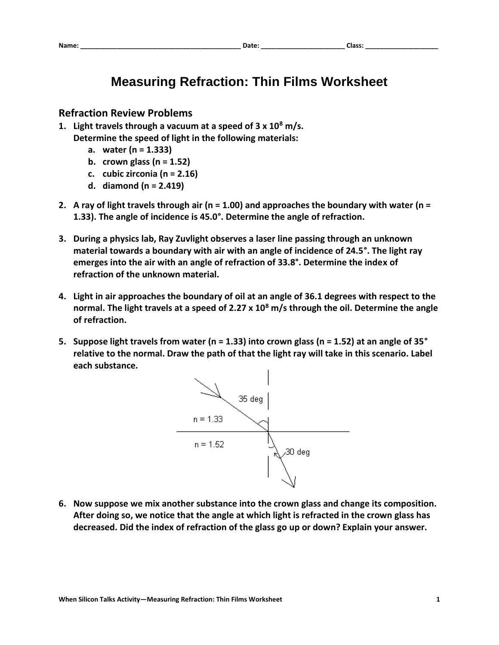## **Measuring Refraction: Thin Films Worksheet**

## **Refraction Review Problems**

- **1. Light travels through a vacuum at a speed of 3 x 10<sup>8</sup> m/s. Determine the speed of light in the following materials:**
	- **a. water (n = 1.333)**
	- **b. crown glass (n = 1.52)**
	- **c. cubic zirconia (n = 2.16)**
	- **d. diamond (n = 2.419)**
- **2. A ray of light travels through air (n = 1.00) and approaches the boundary with water (n = 1.33). The angle of incidence is 45.0°. Determine the angle of refraction.**
- **3. During a physics lab, Ray Zuvlight observes a laser line passing through an unknown material towards a boundary with air with an angle of incidence of 24.5°. The light ray emerges into the air with an angle of refraction of 33.8°. Determine the index of refraction of the unknown material.**
- **4. Light in air approaches the boundary of oil at an angle of 36.1 degrees with respect to the normal. The light travels at a speed of 2.27 x 10<sup>8</sup> m/s through the oil. Determine the angle of refraction.**
- **5. Suppose light travels from water (n = 1.33) into crown glass (n = 1.52) at an angle of 35° relative to the normal. Draw the path of that the light ray will take in this scenario. Label each substance.**



**6. Now suppose we mix another substance into the crown glass and change its composition. After doing so, we notice that the angle at which light is refracted in the crown glass has decreased. Did the index of refraction of the glass go up or down? Explain your answer.**